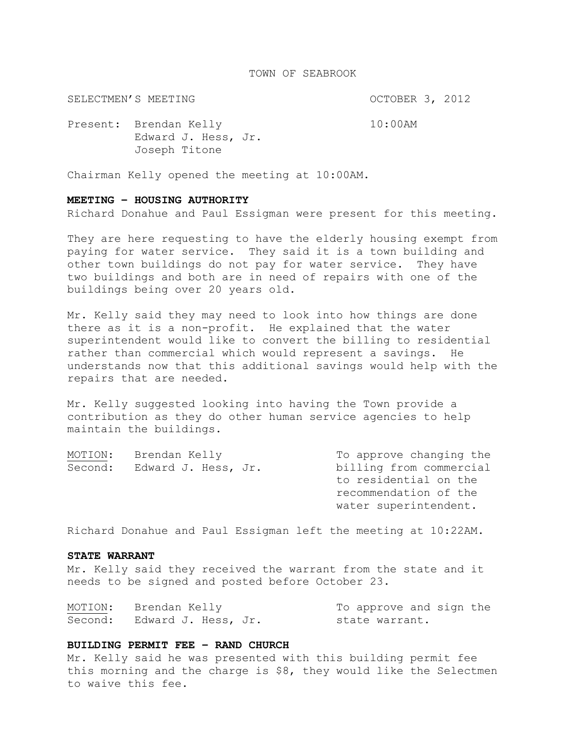# TOWN OF SEABROOK

SELECTMEN'S MEETING **COLLECT AND SELECTMEN'S** MEETING

Present: Brendan Kelly 10:00AM Edward J. Hess, Jr. Joseph Titone

Chairman Kelly opened the meeting at 10:00AM.

### **MEETING – HOUSING AUTHORITY**

Richard Donahue and Paul Essigman were present for this meeting.

They are here requesting to have the elderly housing exempt from paying for water service. They said it is a town building and other town buildings do not pay for water service. They have two buildings and both are in need of repairs with one of the buildings being over 20 years old.

Mr. Kelly said they may need to look into how things are done there as it is a non-profit. He explained that the water superintendent would like to convert the billing to residential rather than commercial which would represent a savings. He understands now that this additional savings would help with the repairs that are needed.

Mr. Kelly suggested looking into having the Town provide a contribution as they do other human service agencies to help maintain the buildings.

| MOTION: | Brendan Kelly       | To approve changing the |  |  |
|---------|---------------------|-------------------------|--|--|
| Second: | Edward J. Hess, Jr. | billing from commercial |  |  |
|         |                     | to residential on the   |  |  |
|         |                     | recommendation of the   |  |  |
|         |                     | water superintendent.   |  |  |
|         |                     |                         |  |  |

Richard Donahue and Paul Essigman left the meeting at 10:22AM.

# **STATE WARRANT**

Mr. Kelly said they received the warrant from the state and it needs to be signed and posted before October 23.

| MOTION: | Brendan Kelly               | To approve and sign the |
|---------|-----------------------------|-------------------------|
|         | Second: Edward J. Hess, Jr. | state warrant.          |

# **BUILDING PERMIT FEE – RAND CHURCH**

Mr. Kelly said he was presented with this building permit fee this morning and the charge is \$8, they would like the Selectmen to waive this fee.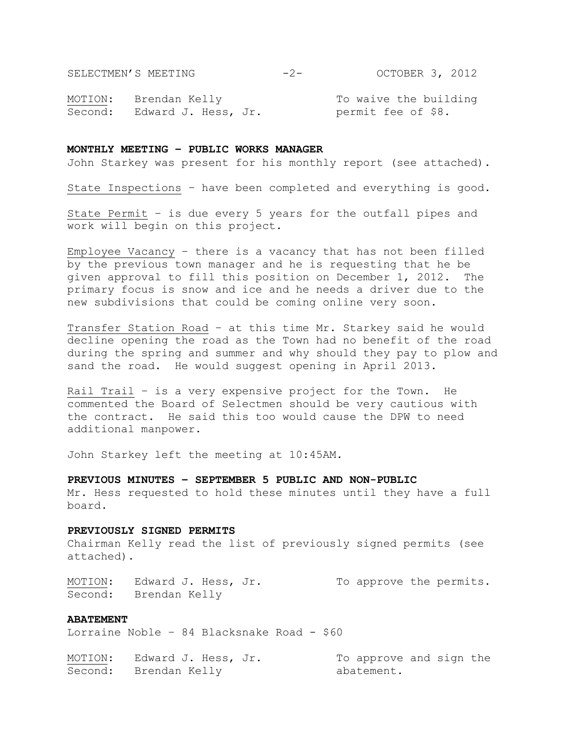SELECTMEN'S MEETING -2- OCTOBER 3, 2012

MOTION: Brendan Kelly To waive the building Second: Edward J. Hess, Jr. permit fee of \$8.

# **MONTHLY MEETING – PUBLIC WORKS MANAGER**

John Starkey was present for his monthly report (see attached).

State Inspections – have been completed and everything is good.

State Permit – is due every 5 years for the outfall pipes and work will begin on this project.

Employee Vacancy – there is a vacancy that has not been filled by the previous town manager and he is requesting that he be given approval to fill this position on December 1, 2012. The primary focus is snow and ice and he needs a driver due to the new subdivisions that could be coming online very soon.

Transfer Station Road – at this time Mr. Starkey said he would decline opening the road as the Town had no benefit of the road during the spring and summer and why should they pay to plow and sand the road. He would suggest opening in April 2013.

Rail Trail – is a very expensive project for the Town. He commented the Board of Selectmen should be very cautious with the contract. He said this too would cause the DPW to need additional manpower.

John Starkey left the meeting at 10:45AM.

# **PREVIOUS MINUTES – SEPTEMBER 5 PUBLIC AND NON-PUBLIC**

Mr. Hess requested to hold these minutes until they have a full board.

#### **PREVIOUSLY SIGNED PERMITS**

Chairman Kelly read the list of previously signed permits (see attached).

MOTION: Edward J. Hess, Jr. To approve the permits. Second: Brendan Kelly

# **ABATEMENT**

Lorraine Noble - 84 Blacksnake Road - \$60

| MOTION: | Edward J. Hess, Jr.   | To approve and sign the |
|---------|-----------------------|-------------------------|
|         | Second: Brendan Kelly | abatement.              |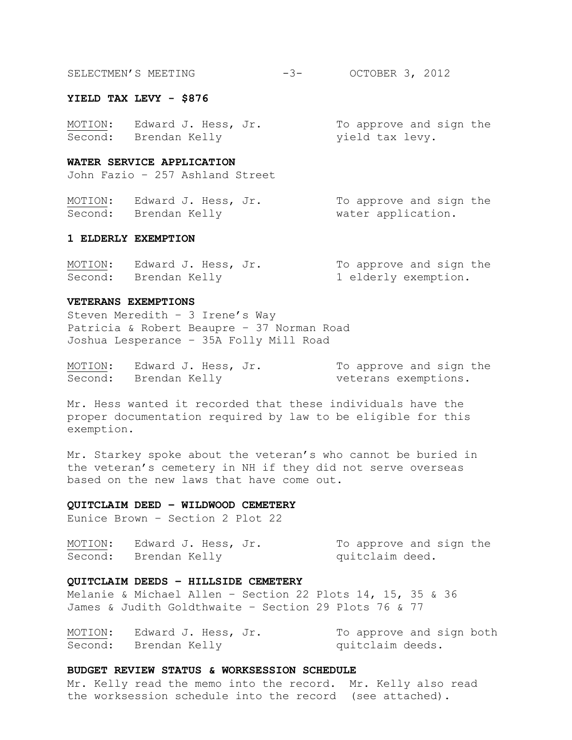| SELECTMEN'S MEETING | OCTOBER 3, 2012 |  |
|---------------------|-----------------|--|
|                     |                 |  |

#### **YIELD TAX LEVY - \$876**

| MOTION: | Edward J. Hess, Jr.   | To approve and sign the |  |  |
|---------|-----------------------|-------------------------|--|--|
|         | Second: Brendan Kelly | yield tax levy.         |  |  |

### **WATER SERVICE APPLICATION**

John Fazio – 257 Ashland Street

MOTION: Edward J. Hess, Jr. To approve and sign the Second: Brendan Kelly Water application.

### **1 ELDERLY EXEMPTION**

| MOTION: | Edward J. Hess, Jr.   |  | To approve and sign the |  |  |
|---------|-----------------------|--|-------------------------|--|--|
|         | Second: Brendan Kelly |  | 1 elderly exemption.    |  |  |

#### **VETERANS EXEMPTIONS**

Steven Meredith – 3 Irene's Way Patricia & Robert Beaupre – 37 Norman Road Joshua Lesperance – 35A Folly Mill Road

MOTION: Edward J. Hess, Jr. To approve and sign the Second: Brendan Kelly veterans exemptions.

Mr. Hess wanted it recorded that these individuals have the proper documentation required by law to be eligible for this exemption.

Mr. Starkey spoke about the veteran's who cannot be buried in the veteran's cemetery in NH if they did not serve overseas based on the new laws that have come out.

#### **QUITCLAIM DEED – WILDWOOD CEMETERY**

Eunice Brown – Section 2 Plot 22

MOTION: Edward J. Hess, Jr. To approve and sign the Second: Brendan Kelly and quitclaim deed.

# **QUITCLAIM DEEDS – HILLSIDE CEMETERY**

Melanie & Michael Allen – Section 22 Plots 14, 15, 35 & 36 James & Judith Goldthwaite – Section 29 Plots 76 & 77

MOTION: Edward J. Hess, Jr. To approve and sign both Second: Brendan Kelly and a quitclaim deeds.

# **BUDGET REVIEW STATUS & WORKSESSION SCHEDULE**

Mr. Kelly read the memo into the record. Mr. Kelly also read the worksession schedule into the record (see attached).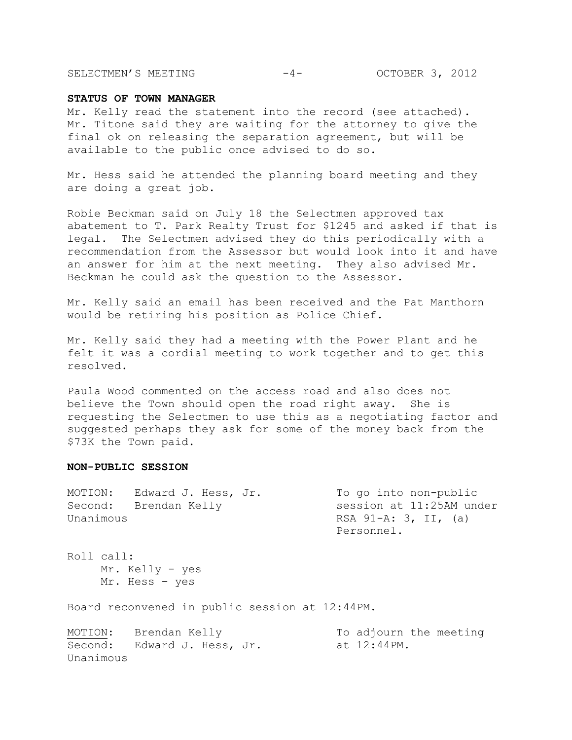SELECTMEN'S MEETING -4- OCTOBER 3, 2012

### **STATUS OF TOWN MANAGER**

Mr. Kelly read the statement into the record (see attached). Mr. Titone said they are waiting for the attorney to give the final ok on releasing the separation agreement, but will be available to the public once advised to do so.

Mr. Hess said he attended the planning board meeting and they are doing a great job.

Robie Beckman said on July 18 the Selectmen approved tax abatement to T. Park Realty Trust for \$1245 and asked if that is legal. The Selectmen advised they do this periodically with a recommendation from the Assessor but would look into it and have an answer for him at the next meeting. They also advised Mr. Beckman he could ask the question to the Assessor.

Mr. Kelly said an email has been received and the Pat Manthorn would be retiring his position as Police Chief.

Mr. Kelly said they had a meeting with the Power Plant and he felt it was a cordial meeting to work together and to get this resolved.

Paula Wood commented on the access road and also does not believe the Town should open the road right away. She is requesting the Selectmen to use this as a negotiating factor and suggested perhaps they ask for some of the money back from the \$73K the Town paid.

### **NON-PUBLIC SESSION**

| MOTION:   | Edward J. Hess, Jr. | To go into non-public    |
|-----------|---------------------|--------------------------|
| Second:   | Brendan Kelly       | session at 11:25AM under |
| Unanimous |                     | RSA 91-A: 3, II, $(a)$   |
|           |                     | Personnel.               |

Roll call: Mr. Kelly - yes Mr. Hess – yes

Board reconvened in public session at 12:44PM.

|           | MOTION: Brendan Kelly       |  | To adjourn the meeting |  |
|-----------|-----------------------------|--|------------------------|--|
|           | Second: Edward J. Hess, Jr. |  | at 12:44PM.            |  |
| Unanimous |                             |  |                        |  |